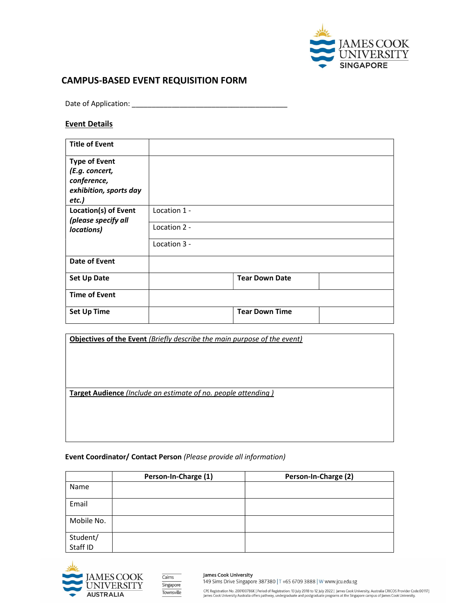

# CAMPUS-BASED EVENT REQUISITION FORM

Date of Application:

## Event Details

| <b>Title of Event</b>         |              |                       |  |
|-------------------------------|--------------|-----------------------|--|
| <b>Type of Event</b>          |              |                       |  |
| (E.g. concert,<br>conference, |              |                       |  |
| exhibition, sports day        |              |                       |  |
| etc.)                         |              |                       |  |
| Location(s) of Event          | Location 1 - |                       |  |
| (please specify all           | Location 2 - |                       |  |
| locations)                    |              |                       |  |
|                               | Location 3 - |                       |  |
| <b>Date of Event</b>          |              |                       |  |
| <b>Set Up Date</b>            |              | <b>Tear Down Date</b> |  |
| <b>Time of Event</b>          |              |                       |  |
| <b>Set Up Time</b>            |              | <b>Tear Down Time</b> |  |

| Objectives of the Event (Briefly describe the main purpose of the event) |
|--------------------------------------------------------------------------|
|                                                                          |
|                                                                          |
|                                                                          |
|                                                                          |
| Target Audience (Include an estimate of no. people attending)            |
|                                                                          |
|                                                                          |
|                                                                          |
|                                                                          |

## Event Coordinator/ Contact Person (Please provide all information)

|                      | Person-In-Charge (1) | Person-In-Charge (2) |
|----------------------|----------------------|----------------------|
| Name                 |                      |                      |
| Email                |                      |                      |
| Mobile No.           |                      |                      |
|                      |                      |                      |
| Student/<br>Staff ID |                      |                      |





James Cook University 149 Sims Drive Singapore 387380 | T +65 6709 3888 | W www.jcu.edu.sg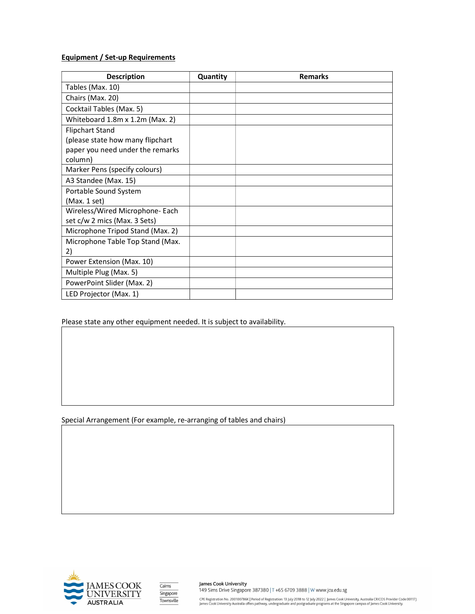# Equipment / Set-up Requirements

| <b>Description</b>               | Quantity | <b>Remarks</b> |
|----------------------------------|----------|----------------|
| Tables (Max. 10)                 |          |                |
| Chairs (Max. 20)                 |          |                |
| Cocktail Tables (Max. 5)         |          |                |
| Whiteboard 1.8m x 1.2m (Max. 2)  |          |                |
| <b>Flipchart Stand</b>           |          |                |
| (please state how many flipchart |          |                |
| paper you need under the remarks |          |                |
| column)                          |          |                |
| Marker Pens (specify colours)    |          |                |
| A3 Standee (Max. 15)             |          |                |
| Portable Sound System            |          |                |
| (Max. 1 set)                     |          |                |
| Wireless/Wired Microphone- Each  |          |                |
| set c/w 2 mics (Max. 3 Sets)     |          |                |
| Microphone Tripod Stand (Max. 2) |          |                |
| Microphone Table Top Stand (Max. |          |                |
| 2)                               |          |                |
| Power Extension (Max. 10)        |          |                |
| Multiple Plug (Max. 5)           |          |                |
| PowerPoint Slider (Max. 2)       |          |                |
| LED Projector (Max. 1)           |          |                |

Please state any other equipment needed. It is subject to availability.

Special Arrangement (For example, re-arranging of tables and chairs)



| Cairns     |
|------------|
| Singapore  |
| Townsville |
|            |

James Cook University 149 Sims Drive Singapore 387380 | T +65 6709 3888 | W www.jcu.edu.sg

CPE Registration No. 200100786K | Period of Registration: 13 July 2018 to 12 July 2022 | James Cook University, Australia CRICOS Provider Code:00117J<br>James Cook University Australia offers pathway, undergraduate and postgr